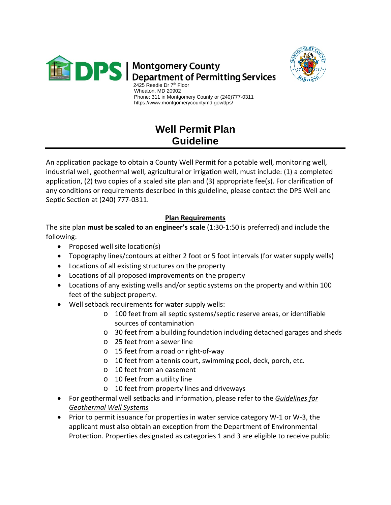



 Wheaton, MD 20902 Phone: 311 in Montgomery County or (240)777-0311 https://www.montgomerycountymd.gov/dps/

## **Well Permit Plan Guideline**

An application package to obtain a County Well Permit for a potable well, monitoring well, industrial well, geothermal well, agricultural or irrigation well, must include: (1) a completed application, (2) two copies of a scaled site plan and (3) appropriate fee(s). For clarification of any conditions or requirements described in this guideline, please contact the DPS Well and Septic Section at (240) 777-0311.

## **Plan Requirements**

The site plan **must be scaled to an engineer's scale** (1:30-1:50 is preferred) and include the following:

- Proposed well site location(s)
- Topography lines/contours at either 2 foot or 5 foot intervals (for water supply wells)
- Locations of all existing structures on the property
- Locations of all proposed improvements on the property
- Locations of any existing wells and/or septic systems on the property and within 100 feet of the subject property.
- Well setback requirements for water supply wells:
	- o 100 feet from all septic systems/septic reserve areas, or identifiable sources of contamination
	- o 30 feet from a building foundation including detached garages and sheds
	- o 25 feet from a sewer line
	- o 15 feet from a road or right-of-way
	- o 10 feet from a tennis court, swimming pool, deck, porch, etc.
	- o 10 feet from an easement
	- o 10 feet from a utility line
	- o 10 feet from property lines and driveways
- For geothermal well setbacks and information, please refer to the *Guidelines for Geothermal Well Systems*
- Prior to permit issuance for properties in water service category W-1 or W-3, the applicant must also obtain an exception from the Department of Environmental Protection. Properties designated as categories 1 and 3 are eligible to receive public